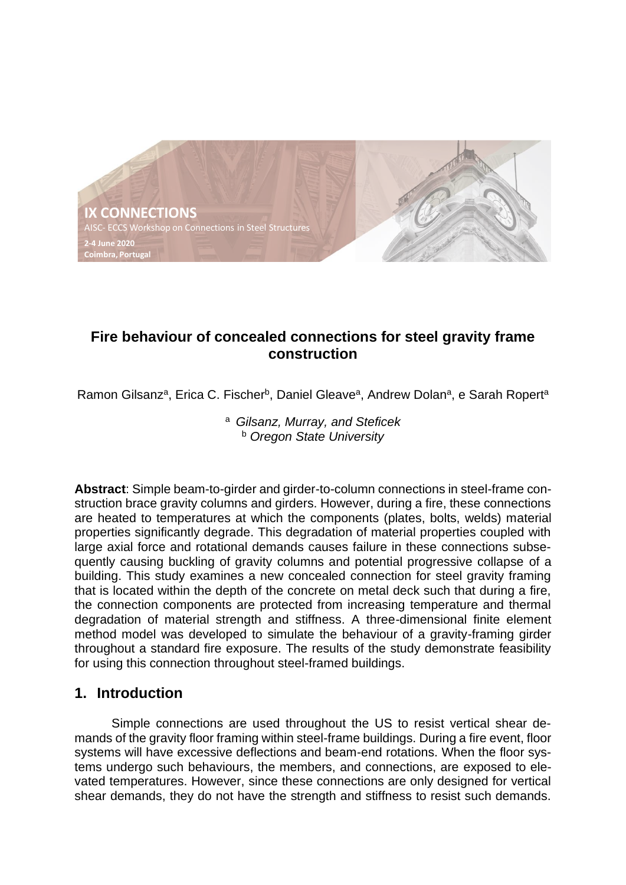

# **Fire behaviour of concealed connections for steel gravity frame construction**

Ramon Gilsanz<sup>a</sup>, Erica C. Fischer<sup>b</sup>, Daniel Gleave<sup>a</sup>, Andrew Dolan<sup>a</sup>, e Sarah Ropert<sup>a</sup>

#### <sup>a</sup>*Gilsanz, Murray, and Steficek* <sup>b</sup> *Oregon State University*

**Abstract**: Simple beam-to-girder and girder-to-column connections in steel-frame construction brace gravity columns and girders. However, during a fire, these connections are heated to temperatures at which the components (plates, bolts, welds) material properties significantly degrade. This degradation of material properties coupled with large axial force and rotational demands causes failure in these connections subsequently causing buckling of gravity columns and potential progressive collapse of a building. This study examines a new concealed connection for steel gravity framing that is located within the depth of the concrete on metal deck such that during a fire, the connection components are protected from increasing temperature and thermal degradation of material strength and stiffness. A three-dimensional finite element method model was developed to simulate the behaviour of a gravity-framing girder throughout a standard fire exposure. The results of the study demonstrate feasibility for using this connection throughout steel-framed buildings.

## **1. Introduction**

Simple connections are used throughout the US to resist vertical shear demands of the gravity floor framing within steel-frame buildings. During a fire event, floor systems will have excessive deflections and beam-end rotations. When the floor systems undergo such behaviours, the members, and connections, are exposed to elevated temperatures. However, since these connections are only designed for vertical shear demands, they do not have the strength and stiffness to resist such demands.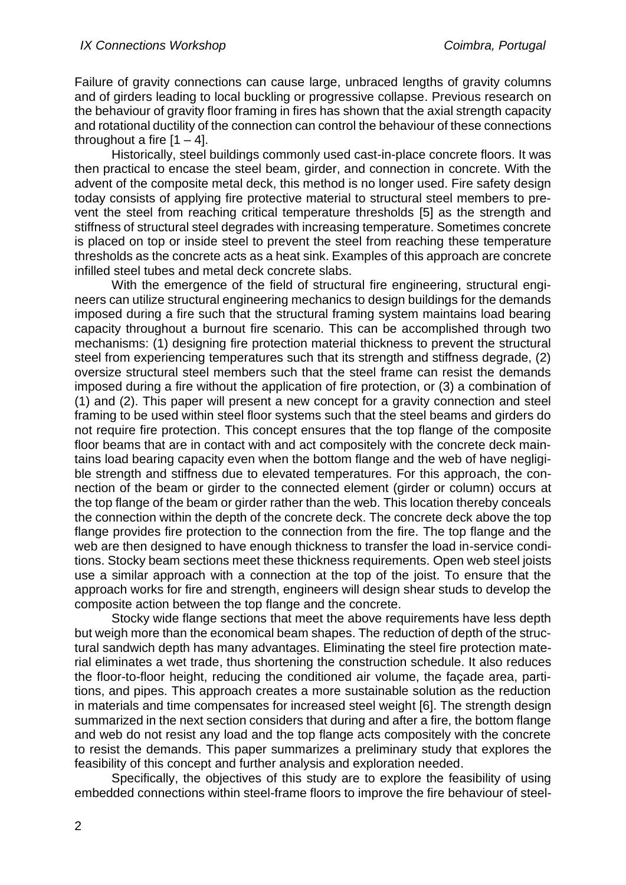Failure of gravity connections can cause large, unbraced lengths of gravity columns and of girders leading to local buckling or progressive collapse. Previous research on the behaviour of gravity floor framing in fires has shown that the axial strength capacity and rotational ductility of the connection can control the behaviour of these connections throughout a fire  $[1 - 4]$ .

Historically, steel buildings commonly used cast-in-place concrete floors. It was then practical to encase the steel beam, girder, and connection in concrete. With the advent of the composite metal deck, this method is no longer used. Fire safety design today consists of applying fire protective material to structural steel members to prevent the steel from reaching critical temperature thresholds [5] as the strength and stiffness of structural steel degrades with increasing temperature. Sometimes concrete is placed on top or inside steel to prevent the steel from reaching these temperature thresholds as the concrete acts as a heat sink. Examples of this approach are concrete infilled steel tubes and metal deck concrete slabs.

With the emergence of the field of structural fire engineering, structural engineers can utilize structural engineering mechanics to design buildings for the demands imposed during a fire such that the structural framing system maintains load bearing capacity throughout a burnout fire scenario. This can be accomplished through two mechanisms: (1) designing fire protection material thickness to prevent the structural steel from experiencing temperatures such that its strength and stiffness degrade, (2) oversize structural steel members such that the steel frame can resist the demands imposed during a fire without the application of fire protection, or (3) a combination of (1) and (2). This paper will present a new concept for a gravity connection and steel framing to be used within steel floor systems such that the steel beams and girders do not require fire protection. This concept ensures that the top flange of the composite floor beams that are in contact with and act compositely with the concrete deck maintains load bearing capacity even when the bottom flange and the web of have negligible strength and stiffness due to elevated temperatures. For this approach, the connection of the beam or girder to the connected element (girder or column) occurs at the top flange of the beam or girder rather than the web. This location thereby conceals the connection within the depth of the concrete deck. The concrete deck above the top flange provides fire protection to the connection from the fire. The top flange and the web are then designed to have enough thickness to transfer the load in-service conditions. Stocky beam sections meet these thickness requirements. Open web steel joists use a similar approach with a connection at the top of the joist. To ensure that the approach works for fire and strength, engineers will design shear studs to develop the composite action between the top flange and the concrete.

Stocky wide flange sections that meet the above requirements have less depth but weigh more than the economical beam shapes. The reduction of depth of the structural sandwich depth has many advantages. Eliminating the steel fire protection material eliminates a wet trade, thus shortening the construction schedule. It also reduces the floor-to-floor height, reducing the conditioned air volume, the façade area, partitions, and pipes. This approach creates a more sustainable solution as the reduction in materials and time compensates for increased steel weight [6]. The strength design summarized in the next section considers that during and after a fire, the bottom flange and web do not resist any load and the top flange acts compositely with the concrete to resist the demands. This paper summarizes a preliminary study that explores the feasibility of this concept and further analysis and exploration needed.

Specifically, the objectives of this study are to explore the feasibility of using embedded connections within steel-frame floors to improve the fire behaviour of steel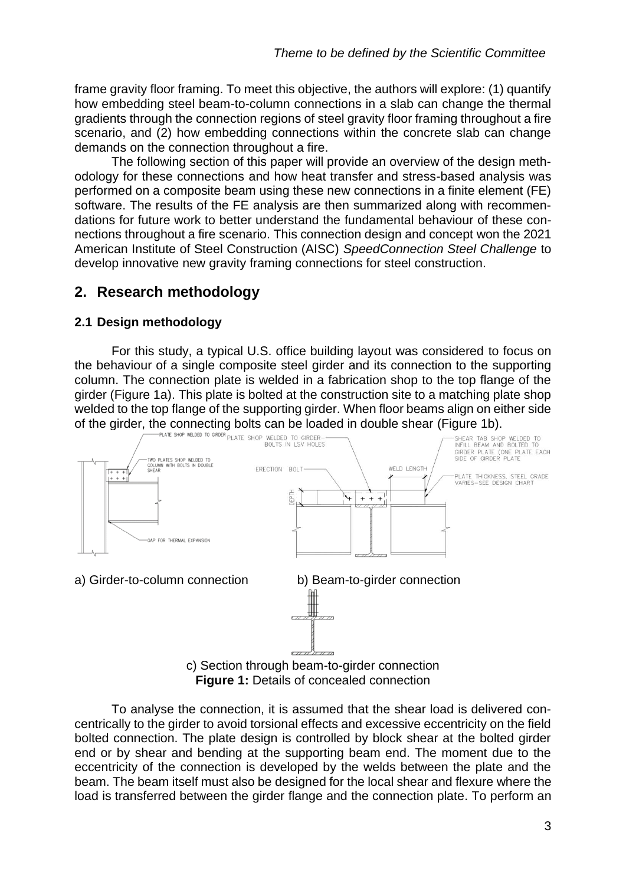frame gravity floor framing. To meet this objective, the authors will explore: (1) quantify how embedding steel beam-to-column connections in a slab can change the thermal gradients through the connection regions of steel gravity floor framing throughout a fire scenario, and (2) how embedding connections within the concrete slab can change demands on the connection throughout a fire.

The following section of this paper will provide an overview of the design methodology for these connections and how heat transfer and stress-based analysis was performed on a composite beam using these new connections in a finite element (FE) software. The results of the FE analysis are then summarized along with recommendations for future work to better understand the fundamental behaviour of these connections throughout a fire scenario. This connection design and concept won the 2021 American Institute of Steel Construction (AISC) *SpeedConnection Steel Challenge* to develop innovative new gravity framing connections for steel construction.

## **2. Research methodology**

## **2.1 Design methodology**

For this study, a typical U.S. office building layout was considered to focus on the behaviour of a single composite steel girder and its connection to the supporting column. The connection plate is welded in a fabrication shop to the top flange of the girder (Figure 1a). This plate is bolted at the construction site to a matching plate shop welded to the top flange of the supporting girder. When floor beams align on either side



**Figure 1: Details of concealed connection** 

To analyse the connection, it is assumed that the shear load is delivered concentrically to the girder to avoid torsional effects and excessive eccentricity on the field bolted connection. The plate design is controlled by block shear at the bolted girder end or by shear and bending at the supporting beam end. The moment due to the eccentricity of the connection is developed by the welds between the plate and the beam. The beam itself must also be designed for the local shear and flexure where the load is transferred between the girder flange and the connection plate. To perform an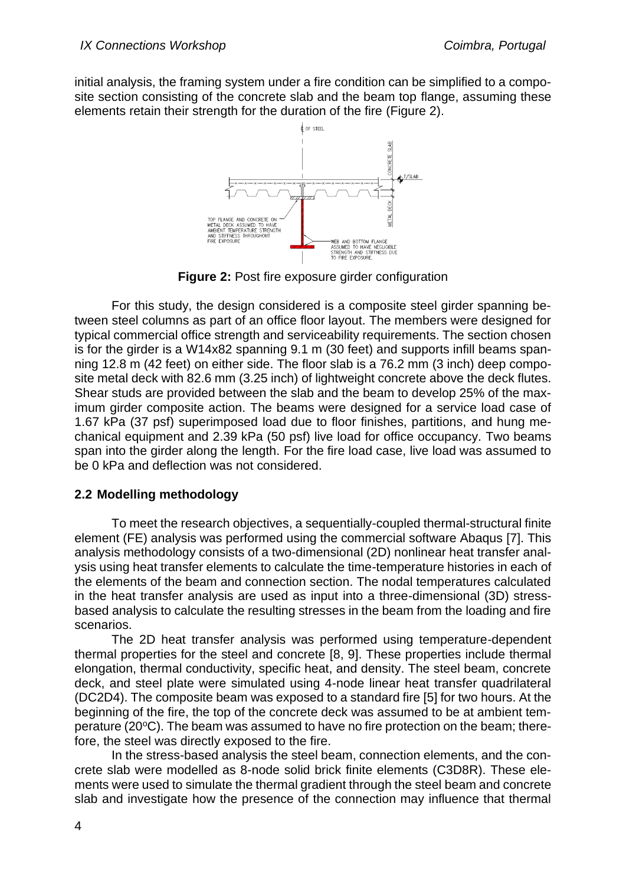initial analysis, the framing system under a fire condition can be simplified to a composite section consisting of the concrete slab and the beam top flange, assuming these elements retain their strength for the duration of the fire (Figure 2).



**Figure 2:** Post fire exposure girder configuration

For this study, the design considered is a composite steel girder spanning between steel columns as part of an office floor layout. The members were designed for typical commercial office strength and serviceability requirements. The section chosen is for the girder is a W14x82 spanning 9.1 m (30 feet) and supports infill beams spanning 12.8 m (42 feet) on either side. The floor slab is a 76.2 mm (3 inch) deep composite metal deck with 82.6 mm (3.25 inch) of lightweight concrete above the deck flutes. Shear studs are provided between the slab and the beam to develop 25% of the maximum girder composite action. The beams were designed for a service load case of 1.67 kPa (37 psf) superimposed load due to floor finishes, partitions, and hung mechanical equipment and 2.39 kPa (50 psf) live load for office occupancy. Two beams span into the girder along the length. For the fire load case, live load was assumed to be 0 kPa and deflection was not considered.

## **2.2 Modelling methodology**

To meet the research objectives, a sequentially-coupled thermal-structural finite element (FE) analysis was performed using the commercial software Abaqus [7]. This analysis methodology consists of a two-dimensional (2D) nonlinear heat transfer analysis using heat transfer elements to calculate the time-temperature histories in each of the elements of the beam and connection section. The nodal temperatures calculated in the heat transfer analysis are used as input into a three-dimensional (3D) stressbased analysis to calculate the resulting stresses in the beam from the loading and fire scenarios.

The 2D heat transfer analysis was performed using temperature-dependent thermal properties for the steel and concrete [8, 9]. These properties include thermal elongation, thermal conductivity, specific heat, and density. The steel beam, concrete deck, and steel plate were simulated using 4-node linear heat transfer quadrilateral (DC2D4). The composite beam was exposed to a standard fire [5] for two hours. At the beginning of the fire, the top of the concrete deck was assumed to be at ambient temperature (20°C). The beam was assumed to have no fire protection on the beam; therefore, the steel was directly exposed to the fire.

In the stress-based analysis the steel beam, connection elements, and the concrete slab were modelled as 8-node solid brick finite elements (C3D8R). These elements were used to simulate the thermal gradient through the steel beam and concrete slab and investigate how the presence of the connection may influence that thermal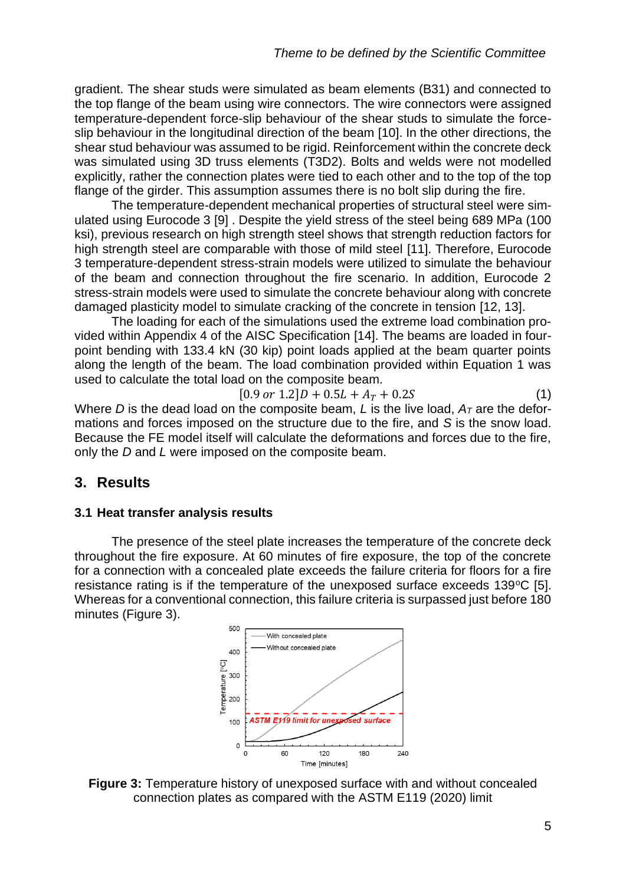gradient. The shear studs were simulated as beam elements (B31) and connected to the top flange of the beam using wire connectors. The wire connectors were assigned temperature-dependent force-slip behaviour of the shear studs to simulate the forceslip behaviour in the longitudinal direction of the beam [10]. In the other directions, the shear stud behaviour was assumed to be rigid. Reinforcement within the concrete deck was simulated using 3D truss elements (T3D2). Bolts and welds were not modelled explicitly, rather the connection plates were tied to each other and to the top of the top flange of the girder. This assumption assumes there is no bolt slip during the fire.

The temperature-dependent mechanical properties of structural steel were simulated using Eurocode 3 [9] . Despite the yield stress of the steel being 689 MPa (100 ksi), previous research on high strength steel shows that strength reduction factors for high strength steel are comparable with those of mild steel [11]. Therefore, Eurocode 3 temperature-dependent stress-strain models were utilized to simulate the behaviour of the beam and connection throughout the fire scenario. In addition, Eurocode 2 stress-strain models were used to simulate the concrete behaviour along with concrete damaged plasticity model to simulate cracking of the concrete in tension [12, 13].

The loading for each of the simulations used the extreme load combination provided within Appendix 4 of the AISC Specification [14]. The beams are loaded in fourpoint bending with 133.4 kN (30 kip) point loads applied at the beam quarter points along the length of the beam. The load combination provided within Equation 1 was used to calculate the total load on the composite beam.

 $[0.9 \text{ or } 1.2]D + 0.5L + A_T + 0.2S$  (1)

Where *D* is the dead load on the composite beam, *L* is the live load,  $A<sub>T</sub>$  are the deformations and forces imposed on the structure due to the fire, and *S* is the snow load. Because the FE model itself will calculate the deformations and forces due to the fire, only the *D* and *L* were imposed on the composite beam.

## **3. Results**

## **3.1 Heat transfer analysis results**

The presence of the steel plate increases the temperature of the concrete deck throughout the fire exposure. At 60 minutes of fire exposure, the top of the concrete for a connection with a concealed plate exceeds the failure criteria for floors for a fire resistance rating is if the temperature of the unexposed surface exceeds  $139^{\circ}C$  [5]. Whereas for a conventional connection, this failure criteria is surpassed just before 180 minutes (Figure 3).



**Figure 3:** Temperature history of unexposed surface with and without concealed connection plates as compared with the ASTM E119 (2020) limit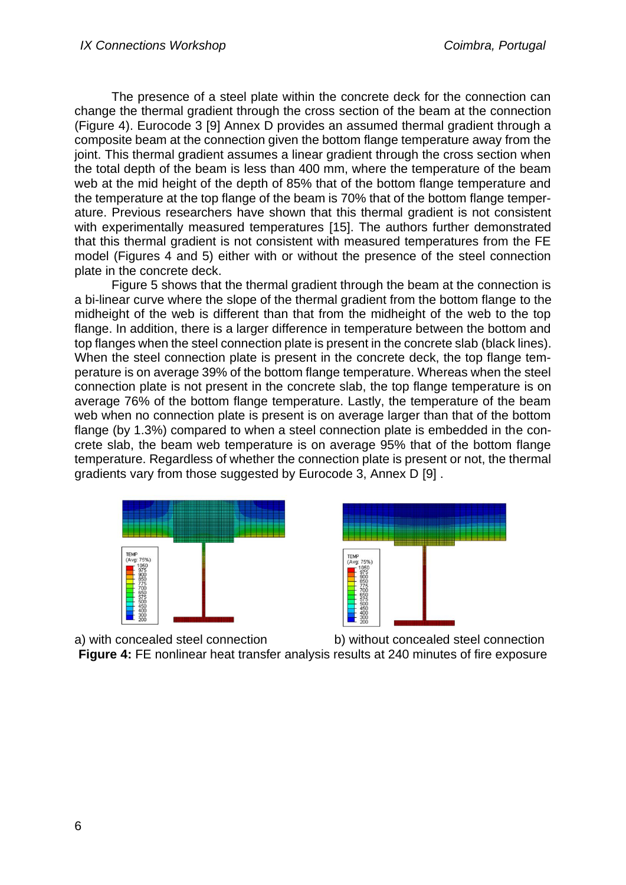The presence of a steel plate within the concrete deck for the connection can change the thermal gradient through the cross section of the beam at the connection (Figure 4). Eurocode 3 [9] Annex D provides an assumed thermal gradient through a composite beam at the connection given the bottom flange temperature away from the joint. This thermal gradient assumes a linear gradient through the cross section when the total depth of the beam is less than 400 mm, where the temperature of the beam web at the mid height of the depth of 85% that of the bottom flange temperature and the temperature at the top flange of the beam is 70% that of the bottom flange temperature. Previous researchers have shown that this thermal gradient is not consistent with experimentally measured temperatures [15]. The authors further demonstrated that this thermal gradient is not consistent with measured temperatures from the FE model (Figures 4 and 5) either with or without the presence of the steel connection plate in the concrete deck.

Figure 5 shows that the thermal gradient through the beam at the connection is a bi-linear curve where the slope of the thermal gradient from the bottom flange to the midheight of the web is different than that from the midheight of the web to the top flange. In addition, there is a larger difference in temperature between the bottom and top flanges when the steel connection plate is present in the concrete slab (black lines). When the steel connection plate is present in the concrete deck, the top flange temperature is on average 39% of the bottom flange temperature. Whereas when the steel connection plate is not present in the concrete slab, the top flange temperature is on average 76% of the bottom flange temperature. Lastly, the temperature of the beam web when no connection plate is present is on average larger than that of the bottom flange (by 1.3%) compared to when a steel connection plate is embedded in the concrete slab, the beam web temperature is on average 95% that of the bottom flange temperature. Regardless of whether the connection plate is present or not, the thermal gradients vary from those suggested by Eurocode 3, Annex D [9] .





a) with concealed steel connection b) without concealed steel connection **Figure 4:** FE nonlinear heat transfer analysis results at 240 minutes of fire exposure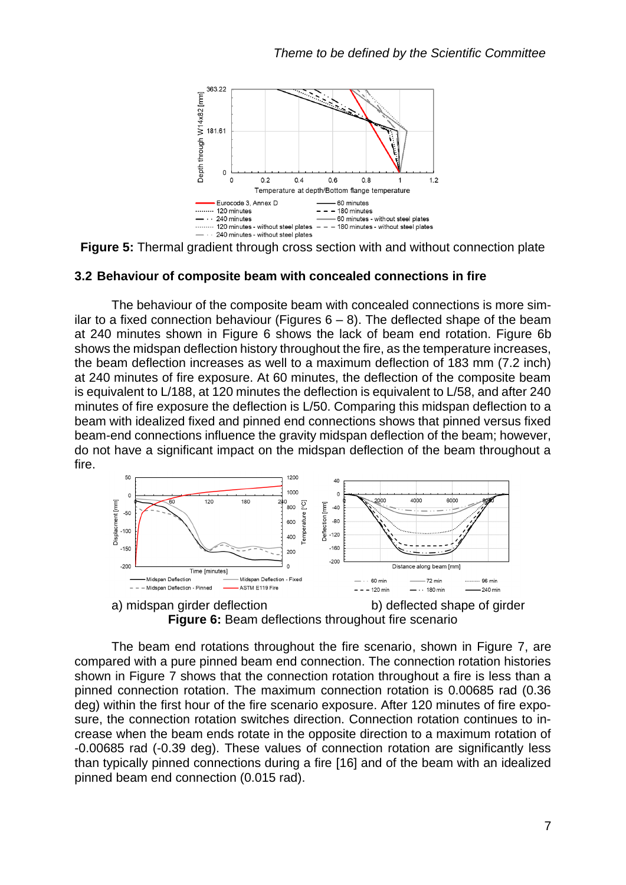

**Figure 5:** Thermal gradient through cross section with and without connection plate

#### **3.2 Behaviour of composite beam with concealed connections in fire**

The behaviour of the composite beam with concealed connections is more similar to a fixed connection behaviour (Figures  $6 - 8$ ). The deflected shape of the beam at 240 minutes shown in Figure 6 shows the lack of beam end rotation. Figure 6b shows the midspan deflection history throughout the fire, as the temperature increases, the beam deflection increases as well to a maximum deflection of 183 mm (7.2 inch) at 240 minutes of fire exposure. At 60 minutes, the deflection of the composite beam is equivalent to L/188, at 120 minutes the deflection is equivalent to L/58, and after 240 minutes of fire exposure the deflection is L/50. Comparing this midspan deflection to a beam with idealized fixed and pinned end connections shows that pinned versus fixed beam-end connections influence the gravity midspan deflection of the beam; however, do not have a significant impact on the midspan deflection of the beam throughout a fire.



a) midspan girder deflection b) deflected shape of girder **Figure 6:** Beam deflections throughout fire scenario

The beam end rotations throughout the fire scenario, shown in Figure 7, are compared with a pure pinned beam end connection. The connection rotation histories shown in Figure 7 shows that the connection rotation throughout a fire is less than a pinned connection rotation. The maximum connection rotation is 0.00685 rad (0.36 deg) within the first hour of the fire scenario exposure. After 120 minutes of fire exposure, the connection rotation switches direction. Connection rotation continues to increase when the beam ends rotate in the opposite direction to a maximum rotation of -0.00685 rad (-0.39 deg). These values of connection rotation are significantly less than typically pinned connections during a fire [16] and of the beam with an idealized pinned beam end connection (0.015 rad).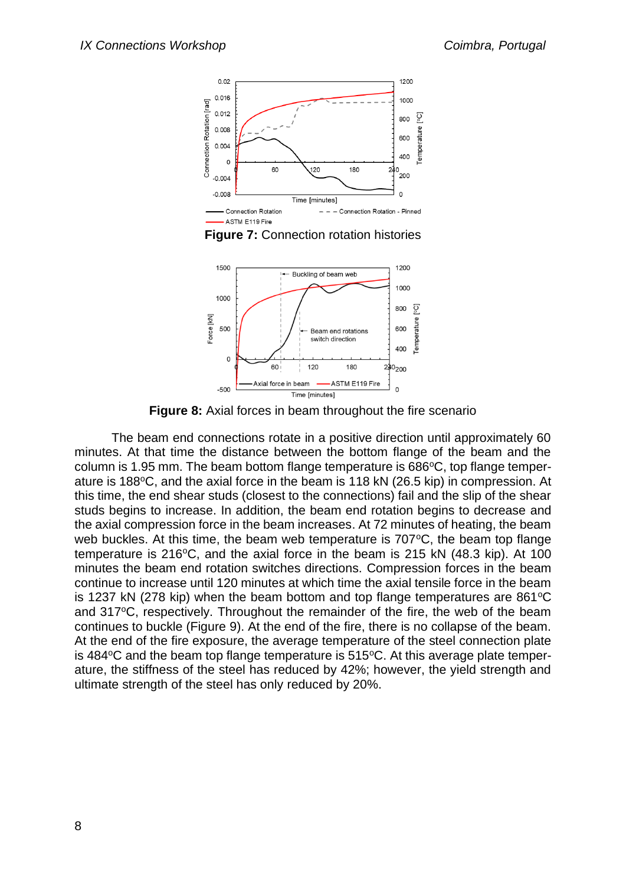

**Figure 7:** Connection rotation histories



**Figure 8:** Axial forces in beam throughout the fire scenario

The beam end connections rotate in a positive direction until approximately 60 minutes. At that time the distance between the bottom flange of the beam and the column is 1.95 mm. The beam bottom flange temperature is  $686^{\circ}$ C, top flange temperature is 188°C, and the axial force in the beam is 118 kN (26.5 kip) in compression. At this time, the end shear studs (closest to the connections) fail and the slip of the shear studs begins to increase. In addition, the beam end rotation begins to decrease and the axial compression force in the beam increases. At 72 minutes of heating, the beam web buckles. At this time, the beam web temperature is  $707^{\circ}$ C, the beam top flange temperature is 216 $^{\circ}$ C, and the axial force in the beam is 215 kN (48.3 kip). At 100 minutes the beam end rotation switches directions. Compression forces in the beam continue to increase until 120 minutes at which time the axial tensile force in the beam is 1237 kN (278 kip) when the beam bottom and top flange temperatures are  $861^{\circ}$ C and 317°C, respectively. Throughout the remainder of the fire, the web of the beam continues to buckle (Figure 9). At the end of the fire, there is no collapse of the beam. At the end of the fire exposure, the average temperature of the steel connection plate is 484 $\degree$ C and the beam top flange temperature is 515 $\degree$ C. At this average plate temperature, the stiffness of the steel has reduced by 42%; however, the yield strength and ultimate strength of the steel has only reduced by 20%.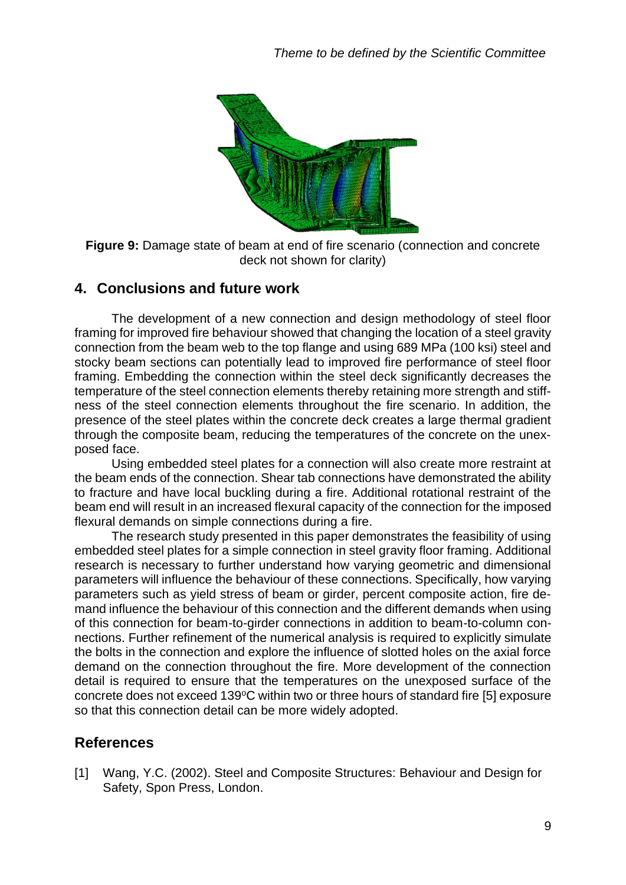

**Figure 9:** Damage state of beam at end of fire scenario (connection and concrete deck not shown for clarity)

#### **4. Conclusions and future work**

The development of a new connection and design methodology of steel floor framing for improved fire behaviour showed that changing the location of a steel gravity connection from the beam web to the top flange and using 689 MPa (100 ksi) steel and stocky beam sections can potentially lead to improved fire performance of steel floor framing. Embedding the connection within the steel deck significantly decreases the temperature of the steel connection elements thereby retaining more strength and stiffness of the steel connection elements throughout the fire scenario. In addition, the presence of the steel plates within the concrete deck creates a large thermal gradient through the composite beam, reducing the temperatures of the concrete on the unexposed face.

Using embedded steel plates for a connection will also create more restraint at the beam ends of the connection. Shear tab connections have demonstrated the ability to fracture and have local buckling during a fire. Additional rotational restraint of the beam end will result in an increased flexural capacity of the connection for the imposed flexural demands on simple connections during a fire.

The research study presented in this paper demonstrates the feasibility of using embedded steel plates for a simple connection in steel gravity floor framing. Additional research is necessary to further understand how varying geometric and dimensional parameters will influence the behaviour of these connections. Specifically, how varying parameters such as yield stress of beam or girder, percent composite action, fire demand influence the behaviour of this connection and the different demands when using of this connection for beam-to-girder connections in addition to beam-to-column connections. Further refinement of the numerical analysis is required to explicitly simulate the bolts in the connection and explore the influence of slotted holes on the axial force demand on the connection throughout the fire. More development of the connection detail is required to ensure that the temperatures on the unexposed surface of the concrete does not exceed 139°C within two or three hours of standard fire [5] exposure so that this connection detail can be more widely adopted.

## **References**

[1] Wang, Y.C. (2002). Steel and Composite Structures: Behaviour and Design for Safety, Spon Press, London.